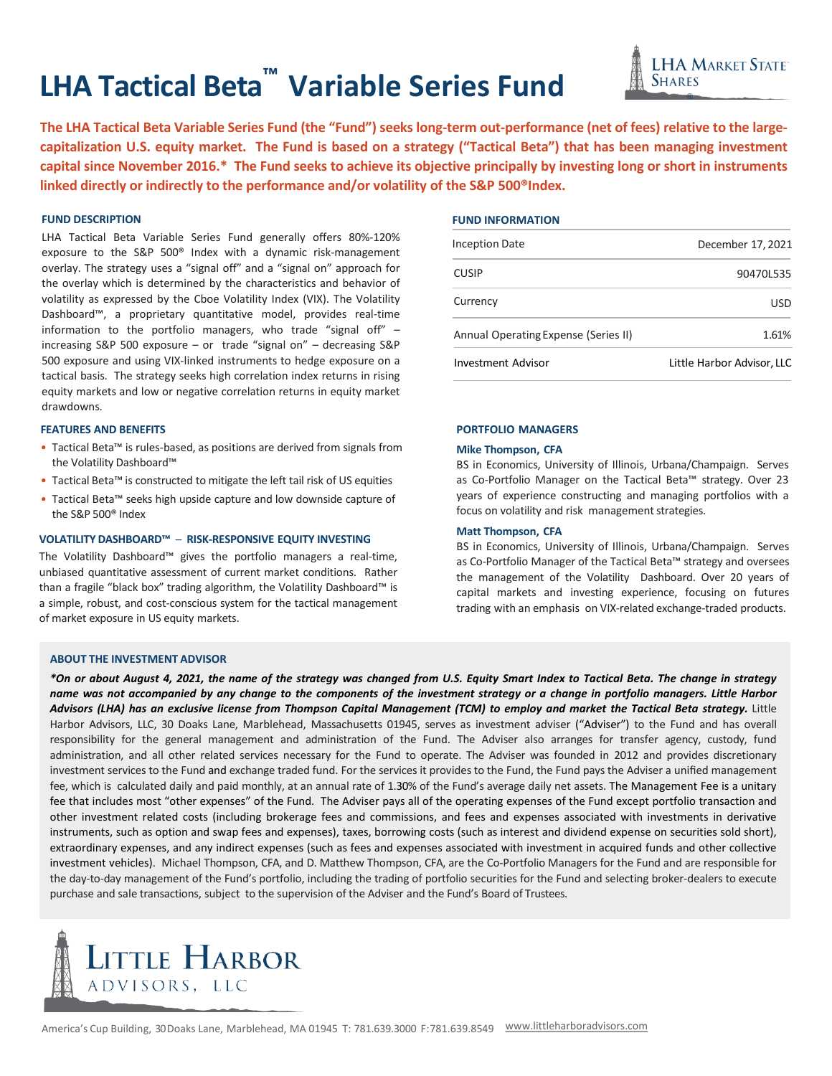# **LHA Tactical Beta™ Variable Series Fund**

The LHA Tactical Beta Variable Series Fund (the "Fund") seeks long-term out-performance (net of fees) relative to the largecapitalization U.S. equity market. The Fund is based on a strategy ("Tactical Beta") that has been managing investment capital since November 2016.\* The Fund seeks to achieve its objective principally by investing long or short in instruments **linked directly or indirectly to the performance and/or volatility of the S&P 500®Index.**

# **FUND DESCRIPTION**

LHA Tactical Beta Variable Series Fund generally offers 80%-120% exposure to the S&P 500® Index with a dynamic risk-management overlay. The strategy uses a "signal off" and a "signal on" approach for the overlay which is determined by the characteristics and behavior of volatility as expressed by the Cboe Volatility Index (VIX). The Volatility Dashboard™, a proprietary quantitative model, provides real-time information to the portfolio managers, who trade "signal off" – increasing S&P 500 exposure – or trade "signal on" – decreasing S&P 500 exposure and using VIX-linked instruments to hedge exposure on a tactical basis. The strategy seeks high correlation index returns in rising equity markets and low or negative correlation returns in equity market drawdowns.

### **FEATURES AND BENEFITS**

- Tactical Beta™ is rules-based, as positions are derived from signals from the Volatility Dashboard™
- Tactical Beta™ is constructed to mitigate the left tail risk of US equities
- Tactical Beta™ seeks high upside capture and low downside capture of the S&P 500® Index

## **VOLATILITY DASHBOARD™** ─ **RISK-RESPONSIVE EQUITY INVESTING**

The Volatility Dashboard™ gives the portfolio managers a real-time, unbiased quantitative assessment of current market conditions. Rather than a fragile "black box" trading algorithm, the Volatility Dashboard™ is a simple, robust, and cost-conscious system for the tactical management of market exposure in US equity markets.

## **FUND INFORMATION**

| <b>Inception Date</b>                | December 17, 2021          |
|--------------------------------------|----------------------------|
| <b>CUSIP</b>                         | 90470L535                  |
| Currency                             | USD                        |
| Annual Operating Expense (Series II) | 1.61%                      |
| <b>Investment Advisor</b>            | Little Harbor Advisor, LLC |

®

**SHARES** 

**LHA MARKET STATE** 

## **PORTFOLIO MANAGERS**

## **Mike Thompson, CFA**

BS in Economics, University of Illinois, Urbana/Champaign. Serves as Co-Portfolio Manager on the Tactical Beta™ strategy. Over 23 years of experience constructing and managing portfolios with a focus on volatility and risk management strategies.

## **Matt Thompson, CFA**

BS in Economics, University of Illinois, Urbana/Champaign. Serves as Co-Portfolio Manager of the Tactical Beta™ strategy and oversees the management of the Volatility Dashboard. Over 20 years of capital markets and investing experience, focusing on futures trading with an emphasis on VIX-related exchange-traded products.

## **ABOUT THE INVESTMENT ADVISOR**

\*On or about August 4, 2021, the name of the strategy was changed from U.S. Equity Smart Index to Tactical Beta. The change in strategy name was not accompanied by any change to the components of the investment strategy or a change in portfolio managers. Little Harbor Advisors (LHA) has an exclusive license from Thompson Capital Management (TCM) to employ and market the Tactical Beta strategy. Little Harbor Advisors, LLC, 30 Doaks Lane, Marblehead, Massachusetts 01945, serves as investment adviser ("Adviser") to the Fund and has overall responsibility for the general management and administration of the Fund. The Adviser also arranges for transfer agency, custody, fund administration, and all other related services necessary for the Fund to operate. The Adviser was founded in 2012 and provides discretionary investment services to the Fund and exchange traded fund. For the services it provides to the Fund, the Fund paysthe Adviser a unified management fee, which is calculated daily and paid monthly, at an annual rate of 1.30% of the Fund's average daily net assets. The Management Fee is a unitary fee that includes most "other expenses" of the Fund. The Adviser pays all of the operating expenses of the Fund except portfolio transaction and other investment related costs (including brokerage fees and commissions, and fees and expenses associated with investments in derivative instruments, such as option and swap fees and expenses), taxes, borrowing costs (such as interest and dividend expense on securities sold short), extraordinary expenses, and any indirect expenses (such as fees and expenses associated with investment in acquired funds and other collective investment vehicles). Michael Thompson, CFA, and D. Matthew Thompson, CFA, are the Co-Portfolio Managers for the Fund and are responsible for the day-to-day management of the Fund's portfolio, including the trading of portfolio securities for the Fund and selecting broker-dealers to execute purchase and sale transactions, subject to the supervision of the Adviser and the Fund's Board of Trustees.